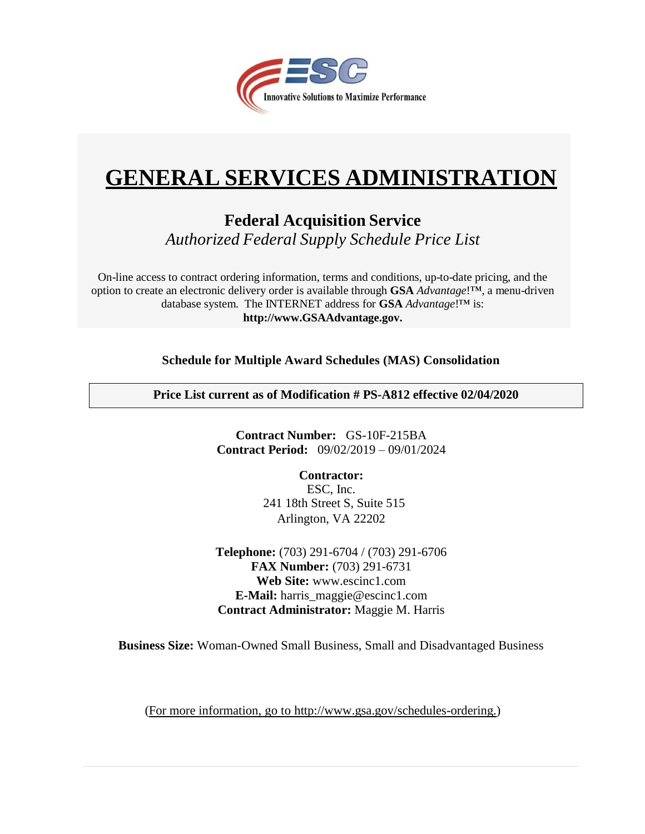

# **GENERAL SERVICES ADMINISTRATION**

**Federal Acquisition Service** *Authorized Federal Supply Schedule Price List*

On-line access to contract ordering information, terms and conditions, up-to-date pricing, and the option to create an electronic delivery order is available through **GSA** *Advantage*!™, a menu-driven database system. The INTERNET address for **GSA** *Advantage*!™ is: **[http://www.GSAAdvantage.gov.](http://www.gsaadvantage.gov/)**

**Schedule for Multiple Award Schedules (MAS) Consolidation** 

**Price List current as of Modification # PS-A812 effective 02/04/2020**

**Contract Number:** GS-10F-215BA **Contract Period:** 09/02/2019 – 09/01/2024

> **Contractor:** ESC, Inc. Arlington, VA 22202 241 18th Street S, Suite 515

**Telephone:** (703) 291-6704 / (703) 291-6706 **FAX Number:** (703) 291-6731 **Web Site:** [www.escinc1.com](http://www.escinc1.com/) **E-Mail:** harris\_maggie@escinc1.com **Contract Administrator:** Maggie M. Harris

**Business Size:** Woman-Owned Small Business, Small and Disadvantaged Business

(For more information, go to [http://www.gsa.gov/schedules-ordering.\)](http://www.gsa.gov/schedules-ordering)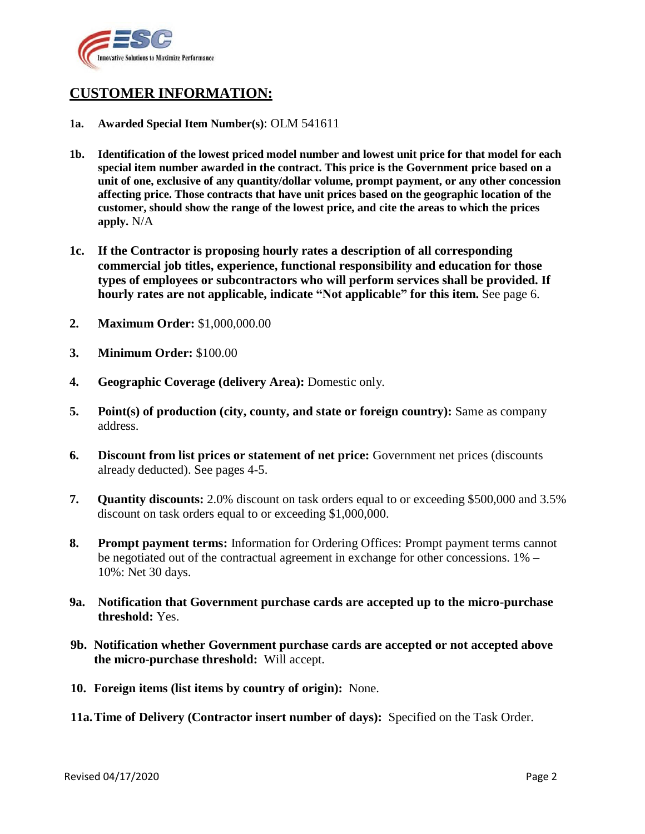

# **CUSTOMER INFORMATION:**

- **1a. Awarded Special Item Number(s)**: OLM 541611
- **1b. Identification of the lowest priced model number and lowest unit price for that model for each special item number awarded in the contract. This price is the Government price based on a unit of one, exclusive of any quantity/dollar volume, prompt payment, or any other concession affecting price. Those contracts that have unit prices based on the geographic location of the customer, should show the range of the lowest price, and cite the areas to which the prices apply.** N/A
- **1c. If the Contractor is proposing hourly rates a description of all corresponding commercial job titles, experience, functional responsibility and education for those types of employees or subcontractors who will perform services shall be provided. If hourly rates are not applicable, indicate "Not applicable" for this item.** See page 6.
- **2. Maximum Order:** \$1,000,000.00
- **3. Minimum Order:** \$100.00
- **4. Geographic Coverage (delivery Area):** Domestic only.
- **5. Point(s) of production (city, county, and state or foreign country):** Same as company address.
- **6. Discount from list prices or statement of net price:** Government net prices (discounts already deducted). See pages 4-5.
- **7. Quantity discounts:** 2.0% discount on task orders equal to or exceeding \$500,000 and 3.5% discount on task orders equal to or exceeding \$1,000,000.
- **8. Prompt payment terms:** Information for Ordering Offices: Prompt payment terms cannot be negotiated out of the contractual agreement in exchange for other concessions. 1% – 10%: Net 30 days.
- **9a. Notification that Government purchase cards are accepted up to the micro-purchase threshold:** Yes.
- **9b. Notification whether Government purchase cards are accepted or not accepted above the micro-purchase threshold:** Will accept.
- **10. Foreign items (list items by country of origin):** None.
- **11a.Time of Delivery (Contractor insert number of days):** Specified on the Task Order.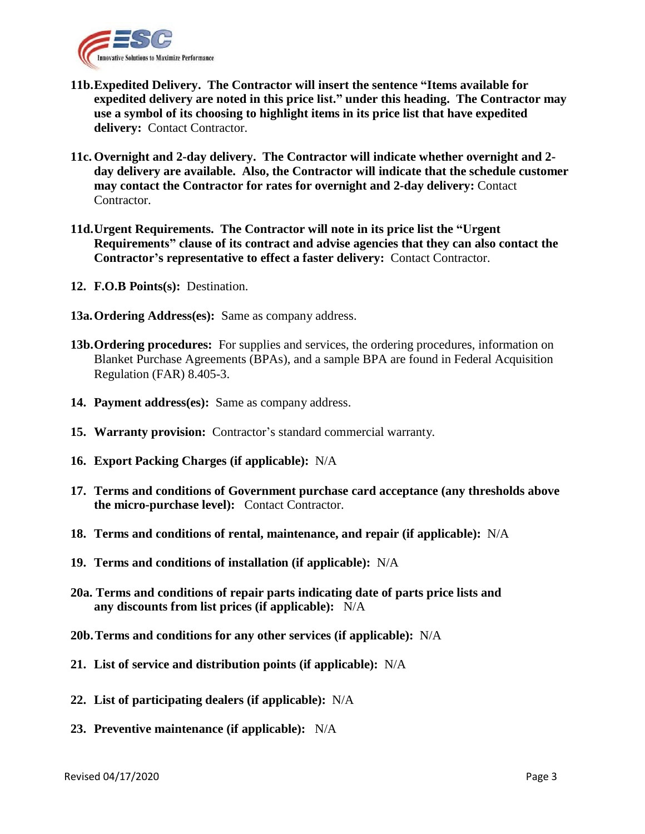

- **11b.Expedited Delivery. The Contractor will insert the sentence "Items available for expedited delivery are noted in this price list." under this heading. The Contractor may use a symbol of its choosing to highlight items in its price list that have expedited**  delivery: Contact Contractor.
- **11c. Overnight and 2-day delivery. The Contractor will indicate whether overnight and 2 day delivery are available. Also, the Contractor will indicate that the schedule customer may contact the Contractor for rates for overnight and 2-day delivery:** Contact Contractor.
- **11d.Urgent Requirements. The Contractor will note in its price list the "Urgent Requirements" clause of its contract and advise agencies that they can also contact the Contractor's representative to effect a faster delivery:** Contact Contractor.
- **12. F.O.B Points(s):** Destination.
- **13a.Ordering Address(es):** Same as company address.
- **13b.Ordering procedures:** For supplies and services, the ordering procedures, information on Blanket Purchase Agreements (BPAs), and a sample BPA are found in Federal Acquisition Regulation (FAR) 8.405-3.
- **14. Payment address(es):** Same as company address.
- **15. Warranty provision:** Contractor's standard commercial warranty.
- **16. Export Packing Charges (if applicable):** N/A
- **17. Terms and conditions of Government purchase card acceptance (any thresholds above the micro-purchase level):** Contact Contractor.
- **18. Terms and conditions of rental, maintenance, and repair (if applicable):** N/A
- **19. Terms and conditions of installation (if applicable):** N/A
- **20a. Terms and conditions of repair parts indicating date of parts price lists and any discounts from list prices (if applicable):** N/A
- **20b.Terms and conditions for any other services (if applicable):** N/A
- **21. List of service and distribution points (if applicable):** N/A
- **22. List of participating dealers (if applicable):** N/A
- **23. Preventive maintenance (if applicable):** N/A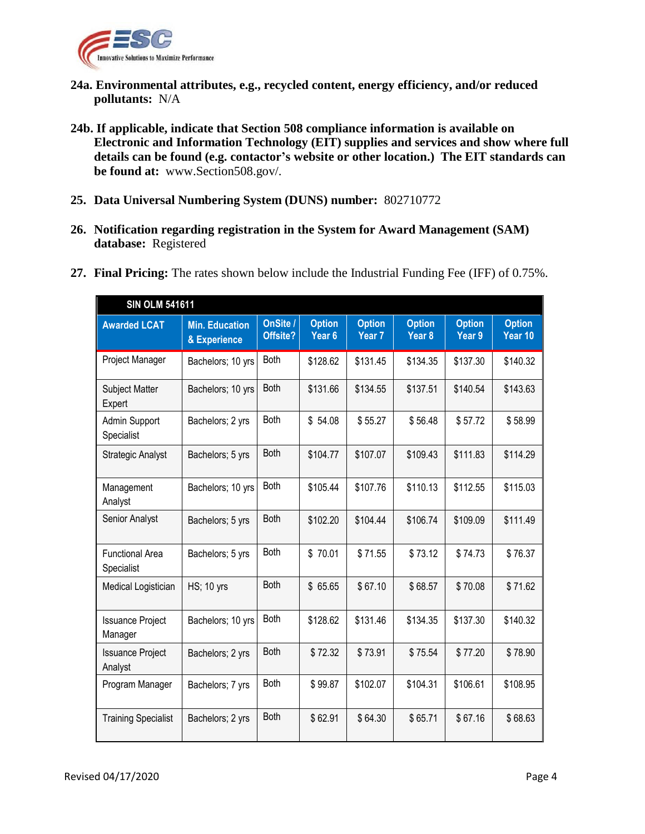

- **24a. Environmental attributes, e.g., recycled content, energy efficiency, and/or reduced pollutants:** N/A
- **24b. If applicable, indicate that Section 508 compliance information is available on Electronic and Information Technology (EIT) supplies and services and show where full details can be found (e.g. contactor's website or other location.) The EIT standards can be found at:** [www.Section508.gov/.](http://www.section508.gov/)
- **25. Data Universal Numbering System (DUNS) number:** 802710772
- **26. Notification regarding registration in the System for Award Management (SAM) database:** Registered

| <b>SIN OLM 541611</b>              |                                       |                      |                                    |                                    |                                    |                         |                          |
|------------------------------------|---------------------------------------|----------------------|------------------------------------|------------------------------------|------------------------------------|-------------------------|--------------------------|
| <b>Awarded LCAT</b>                | <b>Min. Education</b><br>& Experience | OnSite /<br>Offsite? | <b>Option</b><br>Year <sub>6</sub> | <b>Option</b><br>Year <sub>7</sub> | <b>Option</b><br>Year <sub>8</sub> | <b>Option</b><br>Year 9 | <b>Option</b><br>Year 10 |
| Project Manager                    | Bachelors; 10 yrs                     | Both                 | \$128.62                           | \$131.45                           | \$134.35                           | \$137.30                | \$140.32                 |
| <b>Subject Matter</b><br>Expert    | Bachelors; 10 yrs                     | <b>Both</b>          | \$131.66                           | \$134.55                           | \$137.51                           | \$140.54                | \$143.63                 |
| Admin Support<br>Specialist        | Bachelors; 2 yrs                      | Both                 | \$54.08                            | \$55.27                            | \$56.48                            | \$57.72                 | \$58.99                  |
| <b>Strategic Analyst</b>           | Bachelors; 5 yrs                      | Both                 | \$104.77                           | \$107.07                           | \$109.43                           | \$111.83                | \$114.29                 |
| Management<br>Analyst              | Bachelors; 10 yrs                     | Both                 | \$105.44                           | \$107.76                           | \$110.13                           | \$112.55                | \$115.03                 |
| Senior Analyst                     | Bachelors; 5 yrs                      | <b>Both</b>          | \$102.20                           | \$104.44                           | \$106.74                           | \$109.09                | \$111.49                 |
| Functional Area<br>Specialist      | Bachelors; 5 yrs                      | <b>Both</b>          | \$70.01                            | \$71.55                            | \$73.12                            | \$74.73                 | \$76.37                  |
| Medical Logistician                | <b>HS</b> ; 10 yrs                    | Both                 | \$65.65                            | \$67.10                            | \$68.57                            | \$70.08                 | \$71.62                  |
| <b>Issuance Project</b><br>Manager | Bachelors; 10 yrs                     | <b>Both</b>          | \$128.62                           | \$131.46                           | \$134.35                           | \$137.30                | \$140.32                 |
| <b>Issuance Project</b><br>Analyst | Bachelors; 2 yrs                      | <b>Both</b>          | \$72.32                            | \$73.91                            | \$75.54                            | \$77.20                 | \$78.90                  |
| Program Manager                    | Bachelors; 7 yrs                      | <b>Both</b>          | \$99.87                            | \$102.07                           | \$104.31                           | \$106.61                | \$108.95                 |
| <b>Training Specialist</b>         | Bachelors; 2 yrs                      | <b>Both</b>          | \$62.91                            | \$64.30                            | \$65.71                            | \$67.16                 | \$68.63                  |

**27. Final Pricing:** The rates shown below include the Industrial Funding Fee (IFF) of 0.75%.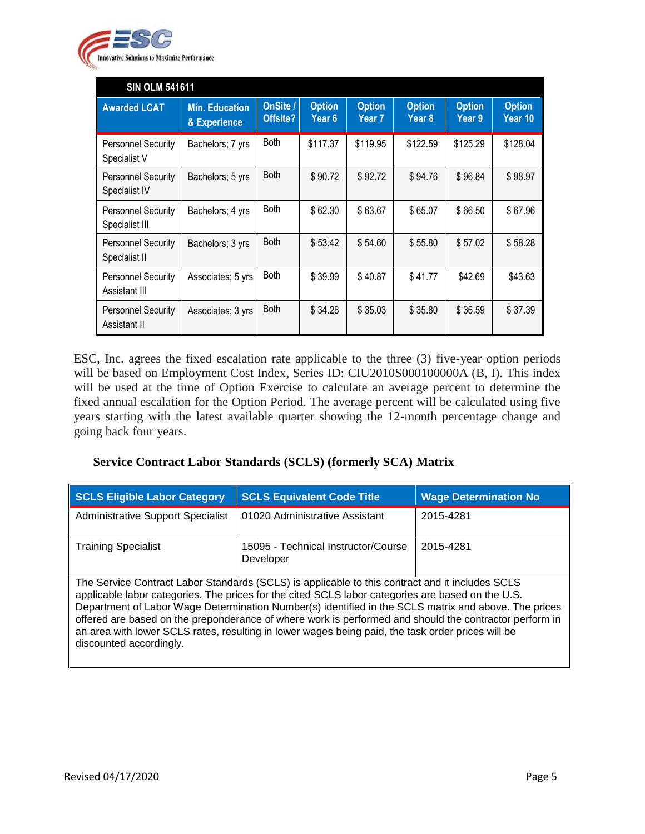

| <b>SIN OLM 541611</b>                       |                                       |                      |                         |                                    |                         |                         |                          |
|---------------------------------------------|---------------------------------------|----------------------|-------------------------|------------------------------------|-------------------------|-------------------------|--------------------------|
| <b>Awarded LCAT</b>                         | <b>Min. Education</b><br>& Experience | OnSite /<br>Offsite? | <b>Option</b><br>Year 6 | <b>Option</b><br>Year <sub>7</sub> | <b>Option</b><br>Year 8 | <b>Option</b><br>Year 9 | <b>Option</b><br>Year 10 |
| <b>Personnel Security</b><br>Specialist V   | Bachelors; 7 yrs                      | <b>Both</b>          | \$117.37                | \$119.95                           | \$122.59                | \$125.29                | \$128.04                 |
| <b>Personnel Security</b><br>Specialist IV  | Bachelors; 5 yrs                      | <b>Both</b>          | \$90.72                 | \$92.72                            | \$94.76                 | \$96.84                 | \$98.97                  |
| <b>Personnel Security</b><br>Specialist III | Bachelors; 4 yrs                      | <b>Both</b>          | \$62.30                 | \$63.67                            | \$65.07                 | \$66.50                 | \$67.96                  |
| <b>Personnel Security</b><br>Specialist II  | Bachelors; 3 yrs                      | <b>Both</b>          | \$53.42                 | \$54.60                            | \$55.80                 | \$57.02                 | \$58.28                  |
| <b>Personnel Security</b><br>Assistant III  | Associates; 5 yrs                     | <b>Both</b>          | \$39.99                 | \$40.87                            | \$41.77                 | \$42.69                 | \$43.63                  |
| <b>Personnel Security</b><br>Assistant II   | Associates; 3 yrs                     | <b>Both</b>          | \$34.28                 | \$35.03                            | \$35.80                 | \$36.59                 | \$37.39                  |

ESC, Inc. agrees the fixed escalation rate applicable to the three (3) five-year option periods will be based on Employment Cost Index, Series ID: CIU2010S000100000A (B, I). This index will be used at the time of Option Exercise to calculate an average percent to determine the fixed annual escalation for the Option Period. The average percent will be calculated using five years starting with the latest available quarter showing the 12-month percentage change and going back four years.

# **Service Contract Labor Standards (SCLS) (formerly SCA) Matrix**

| <b>SCLS Eligible Labor Category</b>                                                                                                                                                                                                                                                                                                                                                                                                                                                                                                                    | <b>SCLS Equivalent Code Title</b>                | <b>Wage Determination No</b> |  |
|--------------------------------------------------------------------------------------------------------------------------------------------------------------------------------------------------------------------------------------------------------------------------------------------------------------------------------------------------------------------------------------------------------------------------------------------------------------------------------------------------------------------------------------------------------|--------------------------------------------------|------------------------------|--|
| <b>Administrative Support Specialist</b>                                                                                                                                                                                                                                                                                                                                                                                                                                                                                                               | 01020 Administrative Assistant                   | 2015-4281                    |  |
| <b>Training Specialist</b>                                                                                                                                                                                                                                                                                                                                                                                                                                                                                                                             | 15095 - Technical Instructor/Course<br>Developer | 2015-4281                    |  |
| The Service Contract Labor Standards (SCLS) is applicable to this contract and it includes SCLS<br>applicable labor categories. The prices for the cited SCLS labor categories are based on the U.S.<br>Department of Labor Wage Determination Number(s) identified in the SCLS matrix and above. The prices<br>offered are based on the preponderance of where work is performed and should the contractor perform in<br>an area with lower SCLS rates, resulting in lower wages being paid, the task order prices will be<br>discounted accordingly. |                                                  |                              |  |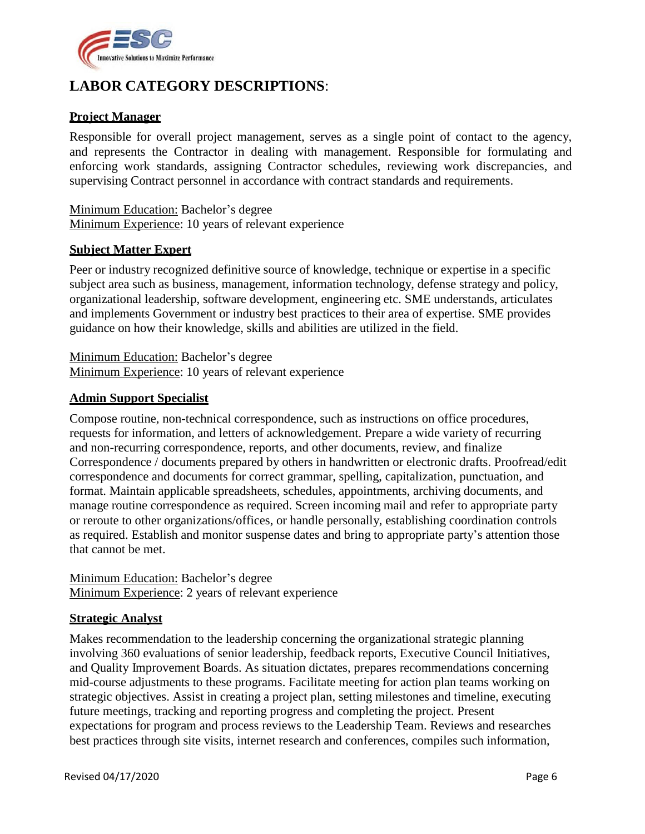

# **LABOR CATEGORY DESCRIPTIONS**:

### **Project Manager**

Responsible for overall project management, serves as a single point of contact to the agency, and represents the Contractor in dealing with management. Responsible for formulating and enforcing work standards, assigning Contractor schedules, reviewing work discrepancies, and supervising Contract personnel in accordance with contract standards and requirements.

Minimum Education: Bachelor's degree Minimum Experience: 10 years of relevant experience

#### **Subject Matter Expert**

Peer or industry recognized definitive source of knowledge, technique or expertise in a specific subject area such as business, management, information technology, defense strategy and policy, organizational leadership, software development, engineering etc. SME understands, articulates and implements Government or industry best practices to their area of expertise. SME provides guidance on how their knowledge, skills and abilities are utilized in the field.

Minimum Education: Bachelor's degree Minimum Experience: 10 years of relevant experience

#### **Admin Support Specialist**

Compose routine, non-technical correspondence, such as instructions on office procedures, requests for information, and letters of acknowledgement. Prepare a wide variety of recurring and non-recurring correspondence, reports, and other documents, review, and finalize Correspondence / documents prepared by others in handwritten or electronic drafts. Proofread/edit correspondence and documents for correct grammar, spelling, capitalization, punctuation, and format. Maintain applicable spreadsheets, schedules, appointments, archiving documents, and manage routine correspondence as required. Screen incoming mail and refer to appropriate party or reroute to other organizations/offices, or handle personally, establishing coordination controls as required. Establish and monitor suspense dates and bring to appropriate party's attention those that cannot be met.

Minimum Education: Bachelor's degree Minimum Experience: 2 years of relevant experience

#### **Strategic Analyst**

Makes recommendation to the leadership concerning the organizational strategic planning involving 360 evaluations of senior leadership, feedback reports, Executive Council Initiatives, and Quality Improvement Boards. As situation dictates, prepares recommendations concerning mid-course adjustments to these programs. Facilitate meeting for action plan teams working on strategic objectives. Assist in creating a project plan, setting milestones and timeline, executing future meetings, tracking and reporting progress and completing the project. Present expectations for program and process reviews to the Leadership Team. Reviews and researches best practices through site visits, internet research and conferences, compiles such information,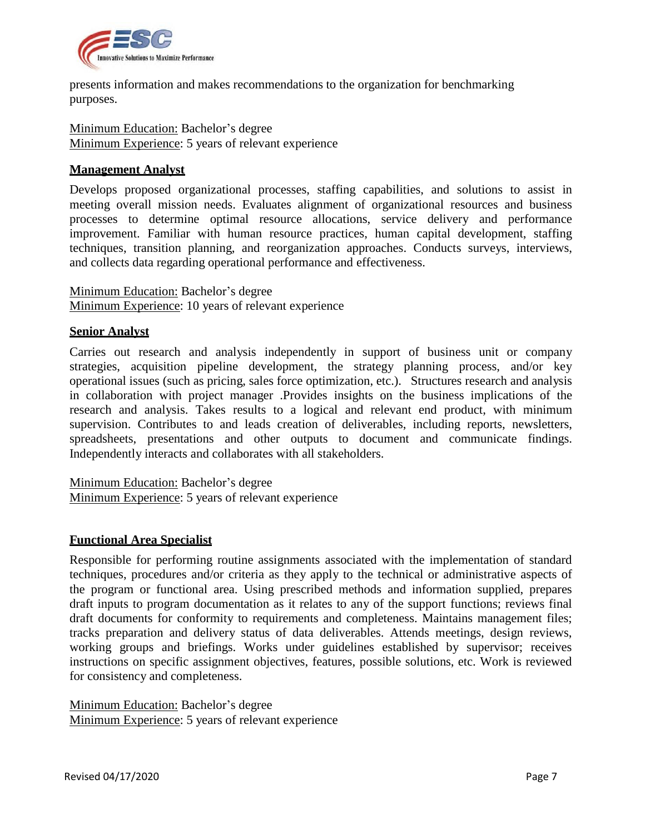

presents information and makes recommendations to the organization for benchmarking purposes.

Minimum Education: Bachelor's degree Minimum Experience: 5 years of relevant experience

#### **Management Analyst**

Develops proposed organizational processes, staffing capabilities, and solutions to assist in meeting overall mission needs. Evaluates alignment of organizational resources and business processes to determine optimal resource allocations, service delivery and performance improvement. Familiar with human resource practices, human capital development, staffing techniques, transition planning, and reorganization approaches. Conducts surveys, interviews, and collects data regarding operational performance and effectiveness.

Minimum Education: Bachelor's degree Minimum Experience: 10 years of relevant experience

#### **Senior Analyst**

Carries out research and analysis independently in support of business unit or company strategies, acquisition pipeline development, the strategy planning process, and/or key operational issues (such as pricing, sales force optimization, etc.). Structures research and analysis in collaboration with project manager .Provides insights on the business implications of the research and analysis. Takes results to a logical and relevant end product, with minimum supervision. Contributes to and leads creation of deliverables, including reports, newsletters, spreadsheets, presentations and other outputs to document and communicate findings. Independently interacts and collaborates with all stakeholders.

Minimum Education: Bachelor's degree Minimum Experience: 5 years of relevant experience

#### **Functional Area Specialist**

Responsible for performing routine assignments associated with the implementation of standard techniques, procedures and/or criteria as they apply to the technical or administrative aspects of the program or functional area. Using prescribed methods and information supplied, prepares draft inputs to program documentation as it relates to any of the support functions; reviews final draft documents for conformity to requirements and completeness. Maintains management files; tracks preparation and delivery status of data deliverables. Attends meetings, design reviews, working groups and briefings. Works under guidelines established by supervisor; receives instructions on specific assignment objectives, features, possible solutions, etc. Work is reviewed for consistency and completeness.

Minimum Education: Bachelor's degree Minimum Experience: 5 years of relevant experience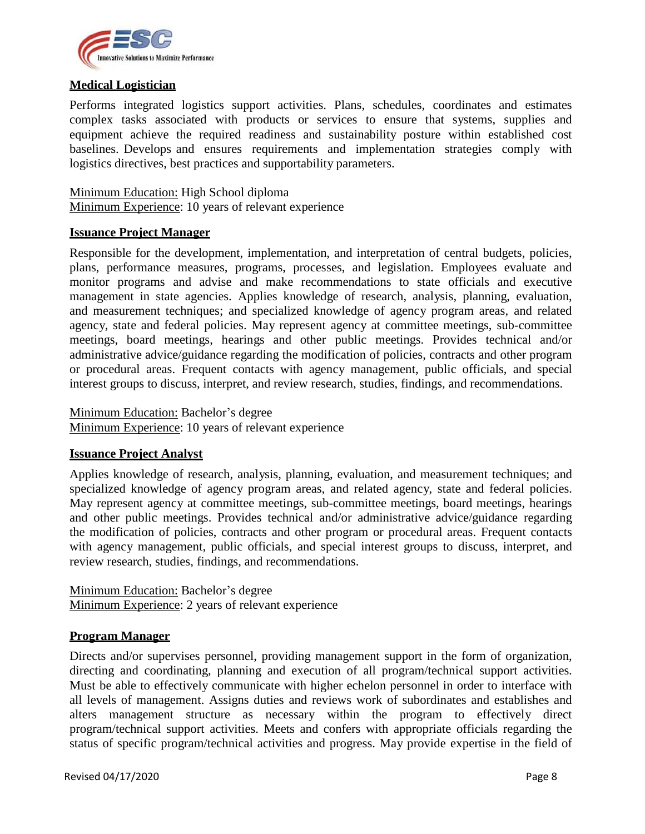

#### **Medical Logistician**

Performs integrated logistics support activities. Plans, schedules, coordinates and estimates complex tasks associated with products or services to ensure that systems, supplies and equipment achieve the required readiness and sustainability posture within established cost baselines. Develops and ensures requirements and implementation strategies comply with logistics directives, best practices and supportability parameters.

Minimum Education: High School diploma Minimum Experience: 10 years of relevant experience

#### **Issuance Project Manager**

Responsible for the development, implementation, and interpretation of central budgets, policies, plans, performance measures, programs, processes, and legislation. Employees evaluate and monitor programs and advise and make recommendations to state officials and executive management in state agencies. Applies knowledge of research, analysis, planning, evaluation, and measurement techniques; and specialized knowledge of agency program areas, and related agency, state and federal policies. May represent agency at committee meetings, sub-committee meetings, board meetings, hearings and other public meetings. Provides technical and/or administrative advice/guidance regarding the modification of policies, contracts and other program or procedural areas. Frequent contacts with agency management, public officials, and special interest groups to discuss, interpret, and review research, studies, findings, and recommendations.

Minimum Education: Bachelor's degree

Minimum Experience: 10 years of relevant experience

#### **Issuance Project Analyst**

Applies knowledge of research, analysis, planning, evaluation, and measurement techniques; and specialized knowledge of agency program areas, and related agency, state and federal policies. May represent agency at committee meetings, sub-committee meetings, board meetings, hearings and other public meetings. Provides technical and/or administrative advice/guidance regarding the modification of policies, contracts and other program or procedural areas. Frequent contacts with agency management, public officials, and special interest groups to discuss, interpret, and review research, studies, findings, and recommendations.

Minimum Education: Bachelor's degree Minimum Experience: 2 years of relevant experience

#### **Program Manager**

Directs and/or supervises personnel, providing management support in the form of organization, directing and coordinating, planning and execution of all program/technical support activities. Must be able to effectively communicate with higher echelon personnel in order to interface with all levels of management. Assigns duties and reviews work of subordinates and establishes and alters management structure as necessary within the program to effectively direct program/technical support activities. Meets and confers with appropriate officials regarding the status of specific program/technical activities and progress. May provide expertise in the field of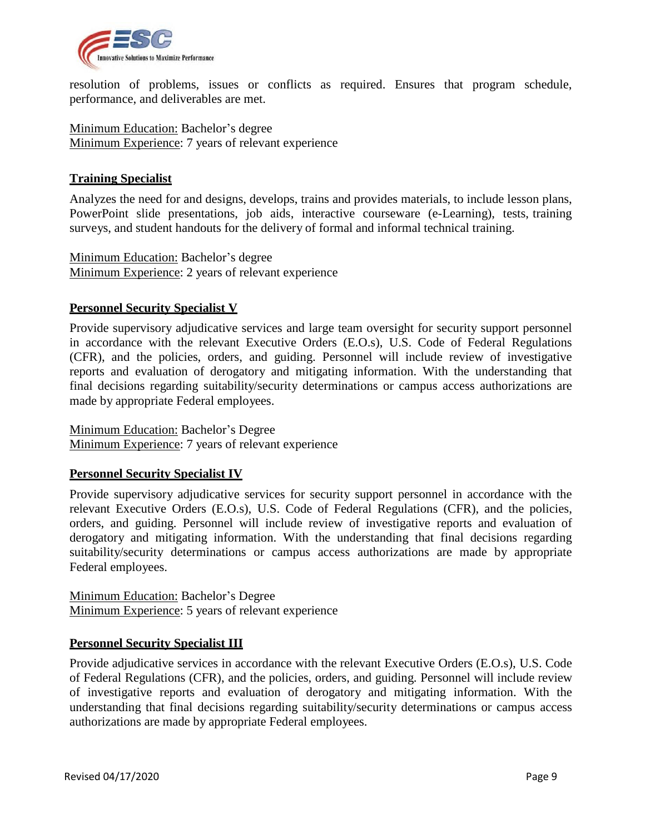

resolution of problems, issues or conflicts as required. Ensures that program schedule, performance, and deliverables are met.

Minimum Education: Bachelor's degree Minimum Experience: 7 years of relevant experience

#### **Training Specialist**

Analyzes the need for and designs, develops, trains and provides materials, to include lesson plans, PowerPoint slide presentations, job aids, interactive courseware (e-Learning), tests, training surveys, and student handouts for the delivery of formal and informal technical training.

Minimum Education: Bachelor's degree Minimum Experience: 2 years of relevant experience

# **Personnel Security Specialist V**

Provide supervisory adjudicative services and large team oversight for security support personnel in accordance with the relevant Executive Orders (E.O.s), U.S. Code of Federal Regulations (CFR), and the policies, orders, and guiding. Personnel will include review of investigative reports and evaluation of derogatory and mitigating information. With the understanding that final decisions regarding suitability/security determinations or campus access authorizations are made by appropriate Federal employees.

Minimum Education: Bachelor's Degree Minimum Experience: 7 years of relevant experience

#### **Personnel Security Specialist IV**

Provide supervisory adjudicative services for security support personnel in accordance with the relevant Executive Orders (E.O.s), U.S. Code of Federal Regulations (CFR), and the policies, orders, and guiding. Personnel will include review of investigative reports and evaluation of derogatory and mitigating information. With the understanding that final decisions regarding suitability/security determinations or campus access authorizations are made by appropriate Federal employees.

Minimum Education: Bachelor's Degree Minimum Experience: 5 years of relevant experience

# **Personnel Security Specialist III**

Provide adjudicative services in accordance with the relevant Executive Orders (E.O.s), U.S. Code of Federal Regulations (CFR), and the policies, orders, and guiding. Personnel will include review of investigative reports and evaluation of derogatory and mitigating information. With the understanding that final decisions regarding suitability/security determinations or campus access authorizations are made by appropriate Federal employees.